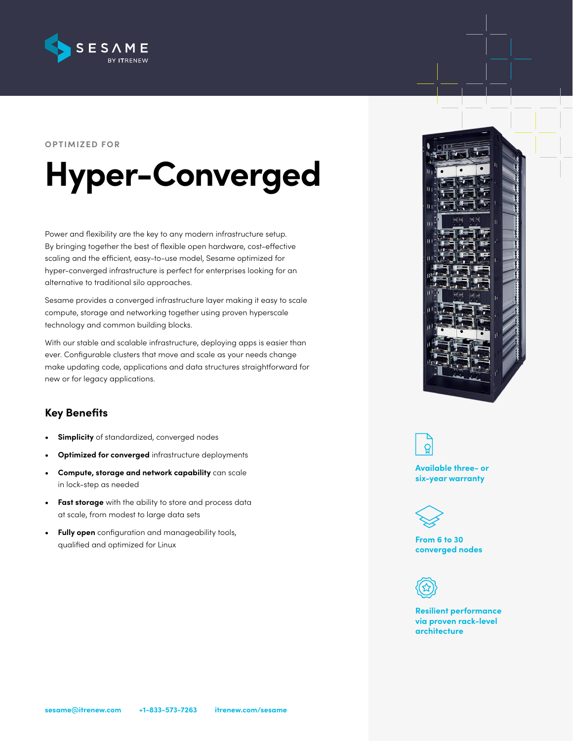

#### **OPTIMIZED FOR**

# **Hyper-Converged**

Power and flexibility are the key to any modern infrastructure setup. By bringing together the best of flexible open hardware, cost-effective scaling and the efficient, easy-to-use model, Sesame optimized for hyper-converged infrastructure is perfect for enterprises looking for an alternative to traditional silo approaches.

Sesame provides a converged infrastructure layer making it easy to scale compute, storage and networking together using proven hyperscale technology and common building blocks.

With our stable and scalable infrastructure, deploying apps is easier than ever. Configurable clusters that move and scale as your needs change make updating code, applications and data structures straightforward for new or for legacy applications.

# **Key Benefits**

- **• Simplicity** of standardized, converged nodes
- **• Optimized for converged** infrastructure deployments
- **• Compute, storage and network capability** can scale in lock-step as needed
- **• Fast storage** with the ability to store and process data at scale, from modest to large data sets
- **• Fully open** configuration and manageability tools, qualified and optimized for Linux





**Available three- or six-year warranty**



**From 6 to 30 converged nodes**



**Resilient performance via proven rack-level architecture**